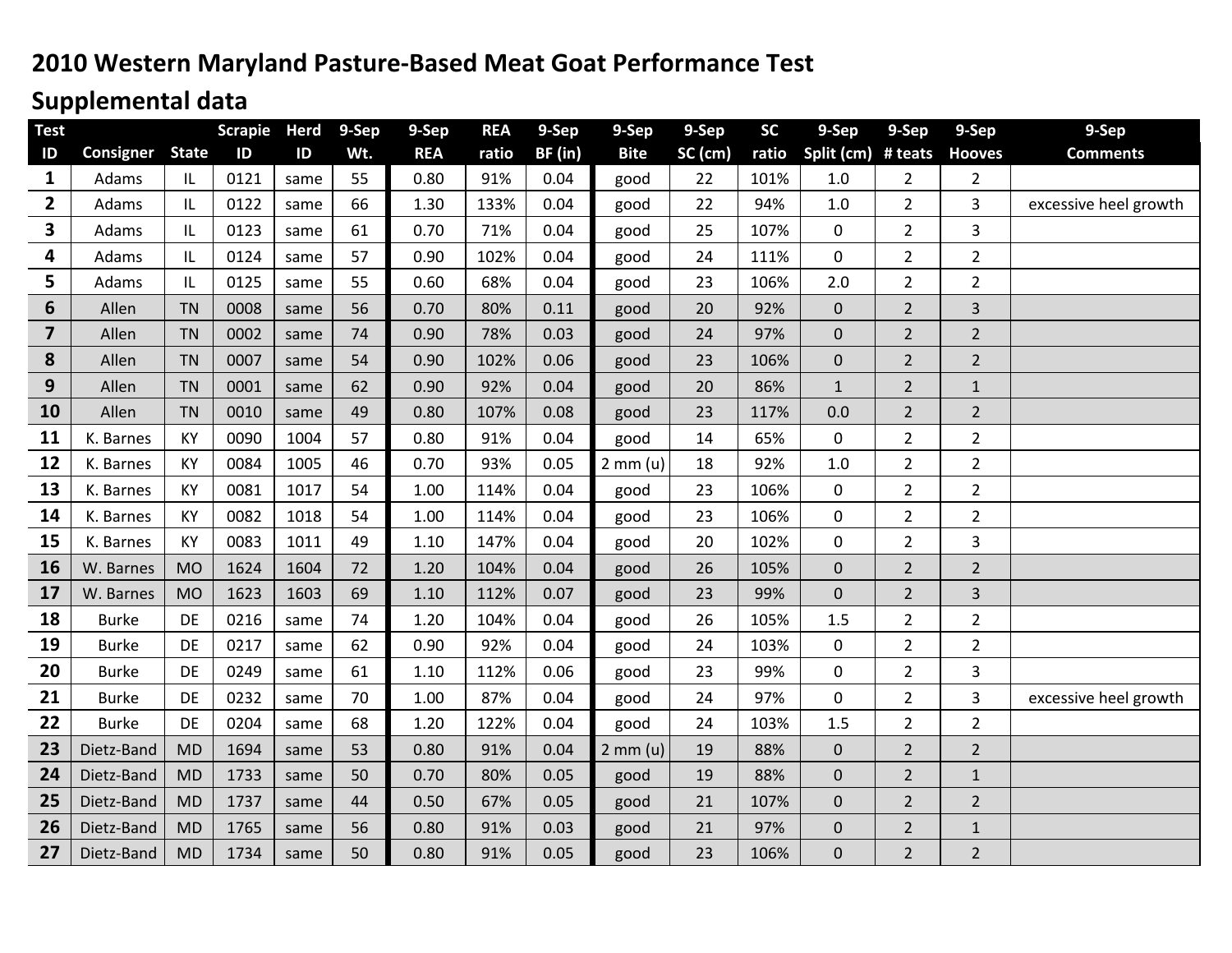# **2010 Western Maryland Pasture-Based Meat Goat Performance Test**

# **Supplemental data**

| <b>Test</b>    |              |                                   | <b>Scrapie</b> | <b>Herd</b> | 9-Sep | 9-Sep      | <b>REA</b> | 9-Sep   | 9-Sep              | 9-Sep   | <b>SC</b> | 9-Sep            | 9-Sep          | 9-Sep          | 9-Sep                 |
|----------------|--------------|-----------------------------------|----------------|-------------|-------|------------|------------|---------|--------------------|---------|-----------|------------------|----------------|----------------|-----------------------|
| ID             | Consigner    | <b>State</b>                      | ID             | ID          | Wt.   | <b>REA</b> | ratio      | BF (in) | <b>Bite</b>        | SC (cm) | ratio     | Split (cm)       | # teats        | <b>Hooves</b>  | <b>Comments</b>       |
| $\mathbf{1}$   | Adams        | IL                                | 0121           | same        | 55    | 0.80       | 91%        | 0.04    | good               | 22      | 101%      | 1.0              | $\overline{2}$ | $\overline{2}$ |                       |
| 2              | Adams        | IL                                | 0122           | same        | 66    | 1.30       | 133%       | 0.04    | good               | 22      | 94%       | 1.0              | 2              | 3              | excessive heel growth |
| 3              | Adams        | $\ensuremath{\mathsf{IL}}\xspace$ | 0123           | same        | 61    | 0.70       | 71%        | 0.04    | good               | 25      | 107%      | $\mathbf 0$      | $\overline{2}$ | 3              |                       |
| 4              | Adams        | IL                                | 0124           | same        | 57    | 0.90       | 102%       | 0.04    | good               | 24      | 111%      | $\mathbf 0$      | $\overline{2}$ | $\overline{2}$ |                       |
| 5              | Adams        | IL                                | 0125           | same        | 55    | 0.60       | 68%        | 0.04    | good               | 23      | 106%      | 2.0              | $\overline{2}$ | $\overline{2}$ |                       |
| 6              | Allen        | <b>TN</b>                         | 0008           | same        | 56    | 0.70       | 80%        | 0.11    | good               | 20      | 92%       | 0                | $\overline{2}$ | 3              |                       |
| $\overline{7}$ | Allen        | <b>TN</b>                         | 0002           | same        | 74    | 0.90       | 78%        | 0.03    | good               | 24      | 97%       | 0                | $\overline{2}$ | $\overline{2}$ |                       |
| 8              | Allen        | <b>TN</b>                         | 0007           | same        | 54    | 0.90       | 102%       | 0.06    | good               | 23      | 106%      | $\overline{0}$   | $\overline{2}$ | $\overline{2}$ |                       |
| 9              | Allen        | <b>TN</b>                         | 0001           | same        | 62    | 0.90       | 92%        | 0.04    | good               | 20      | 86%       | $\mathbf 1$      | $\overline{2}$ | $\mathbf 1$    |                       |
| 10             | Allen        | <b>TN</b>                         | 0010           | same        | 49    | 0.80       | 107%       | 0.08    | good               | 23      | 117%      | 0.0              | $\overline{2}$ | $\overline{2}$ |                       |
| 11             | K. Barnes    | KY                                | 0090           | 1004        | 57    | 0.80       | 91%        | 0.04    | good               | 14      | 65%       | $\mathbf 0$      | $\overline{2}$ | $\overline{2}$ |                       |
| 12             | K. Barnes    | KY                                | 0084           | 1005        | 46    | 0.70       | 93%        | 0.05    | 2 mm(u)            | 18      | 92%       | 1.0              | $\overline{2}$ | $\overline{2}$ |                       |
| 13             | K. Barnes    | KY                                | 0081           | 1017        | 54    | 1.00       | 114%       | 0.04    | good               | 23      | 106%      | $\mathbf 0$      | $\overline{2}$ | $\overline{2}$ |                       |
| 14             | K. Barnes    | KY                                | 0082           | 1018        | 54    | 1.00       | 114%       | 0.04    | good               | 23      | 106%      | $\pmb{0}$        | $\overline{2}$ | $\overline{2}$ |                       |
| 15             | K. Barnes    | KY                                | 0083           | 1011        | 49    | 1.10       | 147%       | 0.04    | good               | 20      | 102%      | $\pmb{0}$        | $\overline{2}$ | 3              |                       |
| 16             | W. Barnes    | <b>MO</b>                         | 1624           | 1604        | 72    | 1.20       | 104%       | 0.04    | good               | 26      | 105%      | $\overline{0}$   | $\overline{2}$ | $\overline{2}$ |                       |
| 17             | W. Barnes    | <b>MO</b>                         | 1623           | 1603        | 69    | 1.10       | 112%       | 0.07    | good               | 23      | 99%       | $\overline{0}$   | $\overline{2}$ | 3              |                       |
| 18             | <b>Burke</b> | DE                                | 0216           | same        | 74    | 1.20       | 104%       | 0.04    | good               | 26      | 105%      | 1.5              | $\overline{2}$ | $\overline{2}$ |                       |
| 19             | <b>Burke</b> | DE                                | 0217           | same        | 62    | 0.90       | 92%        | 0.04    | good               | 24      | 103%      | $\pmb{0}$        | $\overline{2}$ | $\overline{2}$ |                       |
| 20             | <b>Burke</b> | DE                                | 0249           | same        | 61    | 1.10       | 112%       | 0.06    | good               | 23      | 99%       | 0                | $\overline{2}$ | 3              |                       |
| 21             | <b>Burke</b> | DE                                | 0232           | same        | 70    | 1.00       | 87%        | 0.04    | good               | 24      | 97%       | 0                | $\overline{2}$ | 3              | excessive heel growth |
| 22             | <b>Burke</b> | DE                                | 0204           | same        | 68    | 1.20       | 122%       | 0.04    | good               | 24      | 103%      | 1.5              | $\overline{2}$ | $\overline{2}$ |                       |
| 23             | Dietz-Band   | <b>MD</b>                         | 1694           | same        | 53    | 0.80       | 91%        | 0.04    | $2 \text{ mm} (u)$ | 19      | 88%       | $\boldsymbol{0}$ | $\overline{2}$ | $\overline{2}$ |                       |
| 24             | Dietz-Band   | <b>MD</b>                         | 1733           | same        | 50    | 0.70       | 80%        | 0.05    | good               | 19      | 88%       | $\mathbf 0$      | $\overline{2}$ | $\mathbf{1}$   |                       |
| 25             | Dietz-Band   | <b>MD</b>                         | 1737           | same        | 44    | 0.50       | 67%        | 0.05    | good               | 21      | 107%      | $\mathbf 0$      | $\overline{2}$ | $\overline{2}$ |                       |
| 26             | Dietz-Band   | <b>MD</b>                         | 1765           | same        | 56    | 0.80       | 91%        | 0.03    | good               | 21      | 97%       | $\mathbf 0$      | $\overline{2}$ | $\mathbf{1}$   |                       |
| 27             | Dietz-Band   | <b>MD</b>                         | 1734           | same        | 50    | 0.80       | 91%        | 0.05    | good               | 23      | 106%      | $\overline{0}$   | $\overline{2}$ | $\overline{2}$ |                       |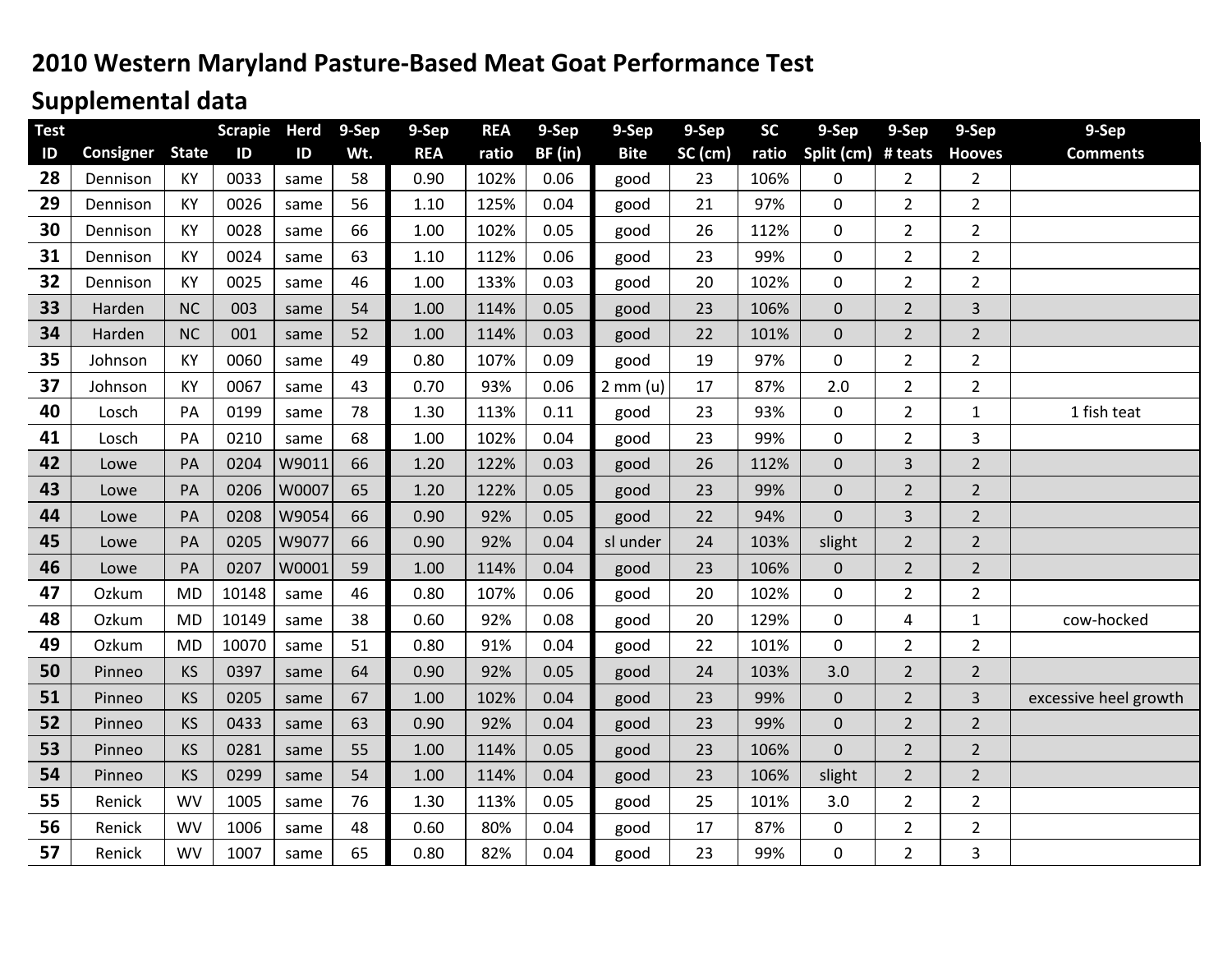# **2010 Western Maryland Pasture-Based Meat Goat Performance Test**

# **Supplemental data**

| <b>Test</b>    |           |              | <b>Scrapie</b> | <b>Herd</b>   | 9-Sep | 9-Sep      | <b>REA</b> | 9-Sep   | 9-Sep       | 9-Sep   | <b>SC</b> | 9-Sep            | 9-Sep          | 9-Sep          | 9-Sep                 |
|----------------|-----------|--------------|----------------|---------------|-------|------------|------------|---------|-------------|---------|-----------|------------------|----------------|----------------|-----------------------|
| $\overline{D}$ | Consigner | <b>State</b> | ID             | $\mathsf{ID}$ | Wt.   | <b>REA</b> | ratio      | BF (in) | <b>Bite</b> | SC (cm) | ratio     | Split (cm)       | # teats        | <b>Hooves</b>  | <b>Comments</b>       |
| 28             | Dennison  | KY           | 0033           | same          | 58    | 0.90       | 102%       | 0.06    | good        | 23      | 106%      | $\mathbf 0$      | $\overline{2}$ | $\overline{2}$ |                       |
| 29             | Dennison  | <b>KY</b>    | 0026           | same          | 56    | 1.10       | 125%       | 0.04    | good        | 21      | 97%       | 0                | 2              | $\overline{2}$ |                       |
| 30             | Dennison  | KY           | 0028           | same          | 66    | 1.00       | 102%       | 0.05    | good        | 26      | 112%      | $\mathbf 0$      | $\overline{2}$ | $\overline{2}$ |                       |
| 31             | Dennison  | KY           | 0024           | same          | 63    | 1.10       | 112%       | 0.06    | good        | 23      | 99%       | 0                | $\overline{2}$ | $\overline{2}$ |                       |
| 32             | Dennison  | KY           | 0025           | same          | 46    | 1.00       | 133%       | 0.03    | good        | 20      | 102%      | 0                | $\overline{2}$ | $\overline{2}$ |                       |
| 33             | Harden    | <b>NC</b>    | 003            | same          | 54    | 1.00       | 114%       | 0.05    | good        | 23      | 106%      | $\mathbf 0$      | $\overline{2}$ | $\overline{3}$ |                       |
| 34             | Harden    | <b>NC</b>    | 001            | same          | 52    | 1.00       | 114%       | 0.03    | good        | 22      | 101%      | $\mathbf 0$      | $\overline{2}$ | $\overline{2}$ |                       |
| 35             | Johnson   | KY           | 0060           | same          | 49    | 0.80       | 107%       | 0.09    | good        | 19      | 97%       | $\mathbf 0$      | $\overline{2}$ | $\overline{2}$ |                       |
| 37             | Johnson   | KY           | 0067           | same          | 43    | 0.70       | 93%        | 0.06    | $2$ mm (u)  | 17      | 87%       | 2.0              | $\overline{2}$ | $\overline{2}$ |                       |
| 40             | Losch     | PA           | 0199           | same          | 78    | 1.30       | 113%       | 0.11    | good        | 23      | 93%       | $\pmb{0}$        | $\overline{2}$ | $\mathbf 1$    | 1 fish teat           |
| 41             | Losch     | PA           | 0210           | same          | 68    | 1.00       | 102%       | 0.04    | good        | 23      | 99%       | 0                | $\overline{2}$ | $\overline{3}$ |                       |
| 42             | Lowe      | PA           | 0204           | W9011         | 66    | 1.20       | 122%       | 0.03    | good        | 26      | 112%      | $\mathbf 0$      | 3              | $\overline{2}$ |                       |
| 43             | Lowe      | PA           | 0206           | W0007         | 65    | 1.20       | 122%       | 0.05    | good        | 23      | 99%       | $\mathbf 0$      | $\overline{2}$ | $\overline{2}$ |                       |
| 44             | Lowe      | PA           | 0208           | W9054         | 66    | 0.90       | 92%        | 0.05    | good        | 22      | 94%       | $\mathbf 0$      | 3              | $\overline{2}$ |                       |
| 45             | Lowe      | PA           | 0205           | W9077         | 66    | 0.90       | 92%        | 0.04    | sl under    | 24      | 103%      | slight           | $\overline{2}$ | $\overline{2}$ |                       |
| 46             | Lowe      | PA           | 0207           | W0001         | 59    | 1.00       | 114%       | 0.04    | good        | 23      | 106%      | $\mathbf 0$      | $\overline{2}$ | $\overline{2}$ |                       |
| 47             | Ozkum     | <b>MD</b>    | 10148          | same          | 46    | 0.80       | 107%       | 0.06    | good        | 20      | 102%      | 0                | $\overline{2}$ | $\overline{2}$ |                       |
| 48             | Ozkum     | <b>MD</b>    | 10149          | same          | 38    | 0.60       | 92%        | 0.08    | good        | 20      | 129%      | $\pmb{0}$        | 4              | $\mathbf{1}$   | cow-hocked            |
| 49             | Ozkum     | <b>MD</b>    | 10070          | same          | 51    | 0.80       | 91%        | 0.04    | good        | 22      | 101%      | $\mathbf 0$      | $\overline{2}$ | $\overline{2}$ |                       |
| 50             | Pinneo    | KS           | 0397           | same          | 64    | 0.90       | 92%        | 0.05    | good        | 24      | 103%      | 3.0              | $\overline{2}$ | $\overline{2}$ |                       |
| 51             | Pinneo    | <b>KS</b>    | 0205           | same          | 67    | 1.00       | 102%       | 0.04    | good        | 23      | 99%       | $\mathbf 0$      | $\overline{2}$ | $\overline{3}$ | excessive heel growth |
| 52             | Pinneo    | KS           | 0433           | same          | 63    | 0.90       | 92%        | 0.04    | good        | 23      | 99%       | $\boldsymbol{0}$ | $\overline{2}$ | $\overline{2}$ |                       |
| 53             | Pinneo    | KS           | 0281           | same          | 55    | 1.00       | 114%       | 0.05    | good        | 23      | 106%      | $\overline{0}$   | $\overline{2}$ | $\overline{2}$ |                       |
| 54             | Pinneo    | <b>KS</b>    | 0299           | same          | 54    | 1.00       | 114%       | 0.04    | good        | 23      | 106%      | slight           | $\overline{2}$ | $\overline{2}$ |                       |
| 55             | Renick    | <b>WV</b>    | 1005           | same          | 76    | 1.30       | 113%       | 0.05    | good        | 25      | 101%      | 3.0              | $\overline{2}$ | $\overline{2}$ |                       |
| 56             | Renick    | <b>WV</b>    | 1006           | same          | 48    | 0.60       | 80%        | 0.04    | good        | 17      | 87%       | $\pmb{0}$        | $\overline{2}$ | $\overline{2}$ |                       |
| 57             | Renick    | <b>WV</b>    | 1007           | same          | 65    | 0.80       | 82%        | 0.04    | good        | 23      | 99%       | 0                | $\overline{2}$ | 3              |                       |